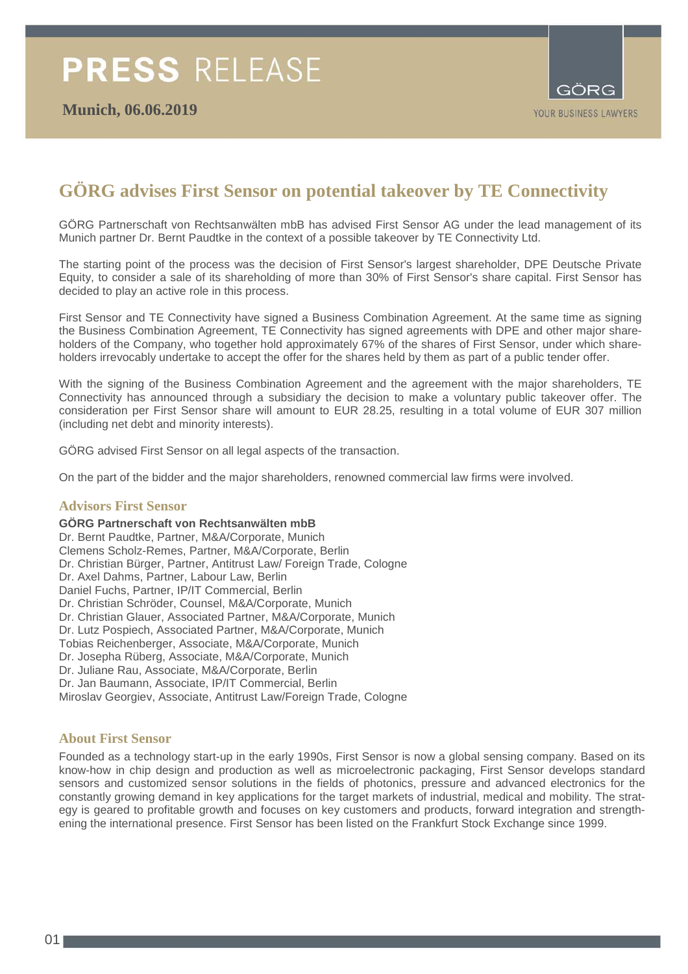

## **GÖRG advises First Sensor on potential takeover by TE Connectivity**

GÖRG Partnerschaft von Rechtsanwälten mbB has advised First Sensor AG under the lead management of its Munich partner Dr. Bernt Paudtke in the context of a possible takeover by TE Connectivity Ltd.

The starting point of the process was the decision of First Sensor's largest shareholder, DPE Deutsche Private Equity, to consider a sale of its shareholding of more than 30% of First Sensor's share capital. First Sensor has decided to play an active role in this process.

First Sensor and TE Connectivity have signed a Business Combination Agreement. At the same time as signing the Business Combination Agreement, TE Connectivity has signed agreements with DPE and other major shareholders of the Company, who together hold approximately 67% of the shares of First Sensor, under which shareholders irrevocably undertake to accept the offer for the shares held by them as part of a public tender offer.

With the signing of the Business Combination Agreement and the agreement with the major shareholders, TE Connectivity has announced through a subsidiary the decision to make a voluntary public takeover offer. The consideration per First Sensor share will amount to EUR 28.25, resulting in a total volume of EUR 307 million (including net debt and minority interests).

GÖRG advised First Sensor on all legal aspects of the transaction.

On the part of the bidder and the major shareholders, renowned commercial law firms were involved.

#### **Advisors First Sensor**

**GÖRG Partnerschaft von Rechtsanwälten mbB**  Dr. Bernt Paudtke, Partner, M&A/Corporate, Munich Clemens Scholz-Remes, Partner, M&A/Corporate, Berlin Dr. Christian Bürger, Partner, Antitrust Law/ Foreign Trade, Cologne Dr. Axel Dahms, Partner, Labour Law, Berlin Daniel Fuchs, Partner, IP/IT Commercial, Berlin Dr. Christian Schröder, Counsel, M&A/Corporate, Munich Dr. Christian Glauer, Associated Partner, M&A/Corporate, Munich Dr. Lutz Pospiech, Associated Partner, M&A/Corporate, Munich Tobias Reichenberger, Associate, M&A/Corporate, Munich Dr. Josepha Rüberg, Associate, M&A/Corporate, Munich Dr. Juliane Rau, Associate, M&A/Corporate, Berlin Dr. Jan Baumann, Associate, IP/IT Commercial, Berlin Miroslav Georgiev, Associate, Antitrust Law/Foreign Trade, Cologne

#### **About First Sensor**

Founded as a technology start-up in the early 1990s, First Sensor is now a global sensing company. Based on its know-how in chip design and production as well as microelectronic packaging, First Sensor develops standard sensors and customized sensor solutions in the fields of photonics, pressure and advanced electronics for the constantly growing demand in key applications for the target markets of industrial, medical and mobility. The strategy is geared to profitable growth and focuses on key customers and products, forward integration and strengthening the international presence. First Sensor has been listed on the Frankfurt Stock Exchange since 1999.